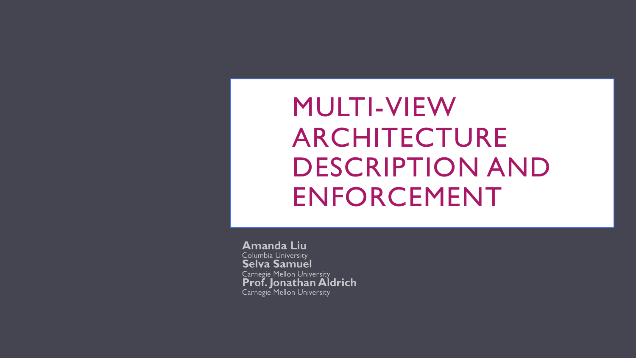## MULTI-VIEW ARCHITECTURE DESCRIPTION AND ENFORCEMENT

**Amanda Liu** Columbia University Selva Samuel Carnegie Mellon University Prof. Jonathan Aldrich Carnegie Mellon University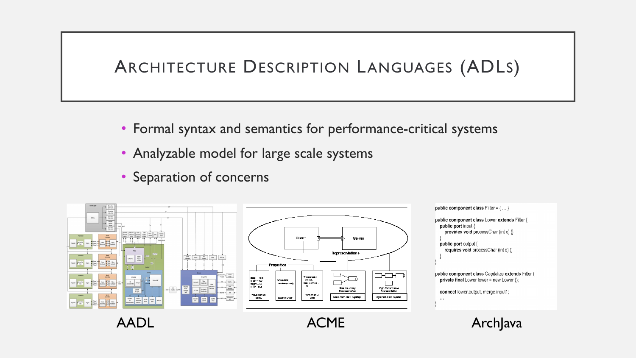#### ARCHITECTURE DESCRIPTION LANGUAGES (ADLS)

- Formal syntax and semantics for performance-critical systems
- Analyzable model for large scale systems
- Separation of concerns



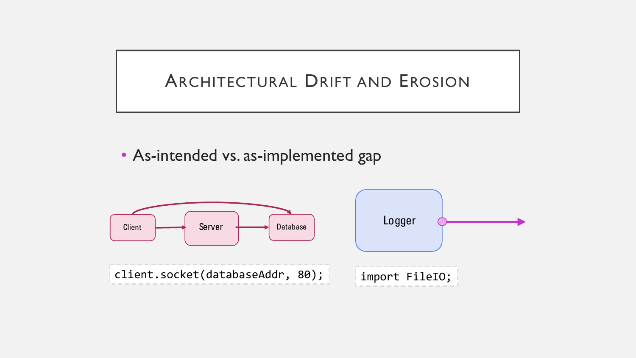

• As-intended vs. as-implemented gap

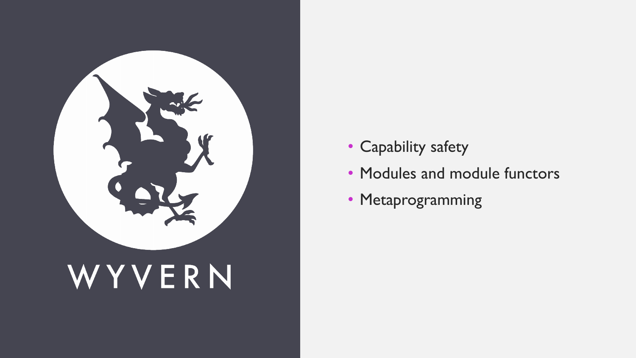

# WYVERN

- Capability safety
- Modules and module functors
- Metaprogramming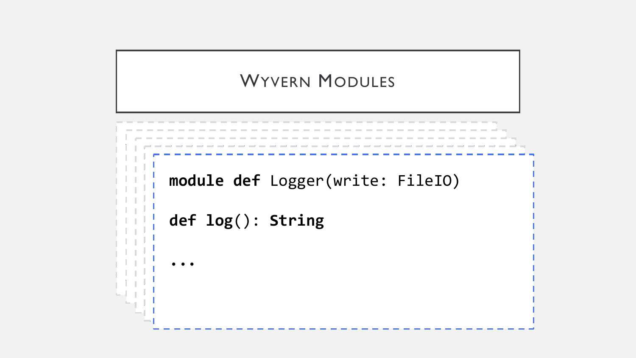#### WYVERN MODULES

```
module def Logger(write: FileIO)
```

```
def log(): String
\mathcal{L} = -\mathcal{L}(\mathcal{L})def log(): String
```
**type** Connector

**...**

**...**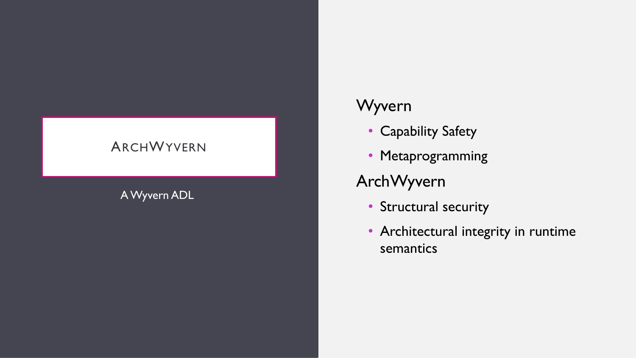#### ARCH WYVERN

#### A Wyvern ADL

#### Wyvern

- Capability Safety
- Metaprogramming

#### ArchWyvern

- Structural security
- Architectural integrity in runtime semantics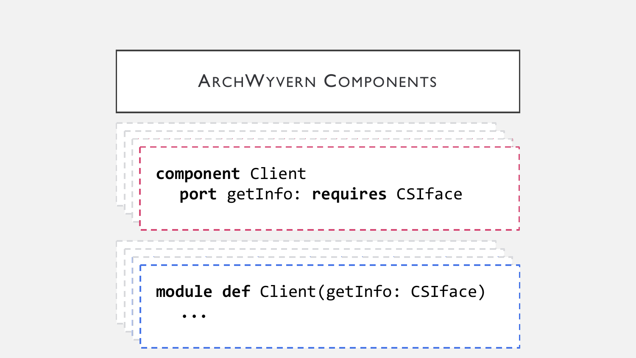### ARCHWYVERN COMPONENTS

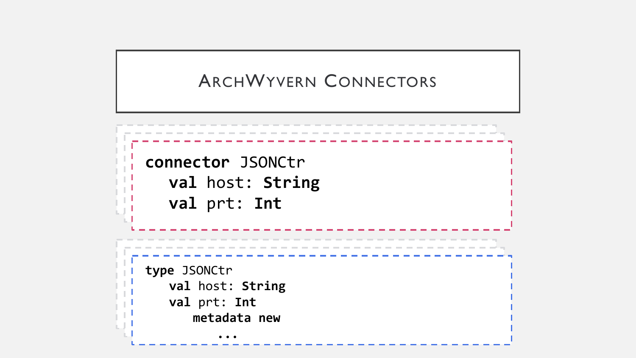#### ARCHWYVERN CONNECTORS

**connector** JSONCtr **val** host: **String val** prt: **Int type** JSONCtr **val** host: **String val** prt: **Int metadata new ...**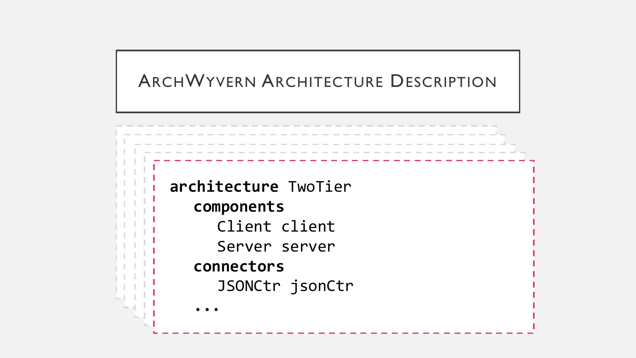#### ARCHWYVERN ARCHITECTURE DESCRIPTION

**architecture** TwoTier **... attachments converted**<br>Sarvar carvar server.<br>S **with** jsonCtr **architecture** TwoTier **components** Client client Server server **connectors** JSONCtr jsonCtr **...**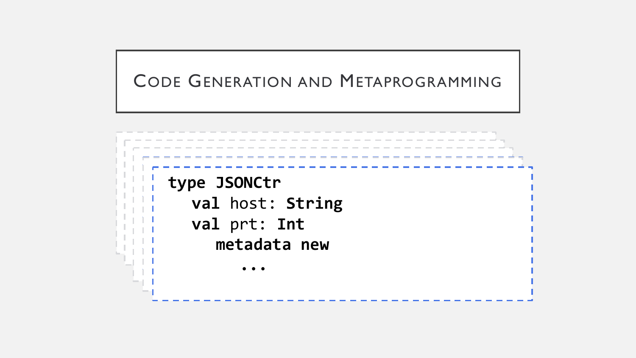#### CODE GENERATION AND METAPROGRAMMING

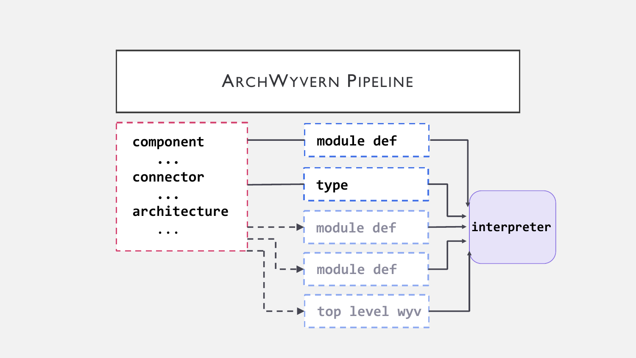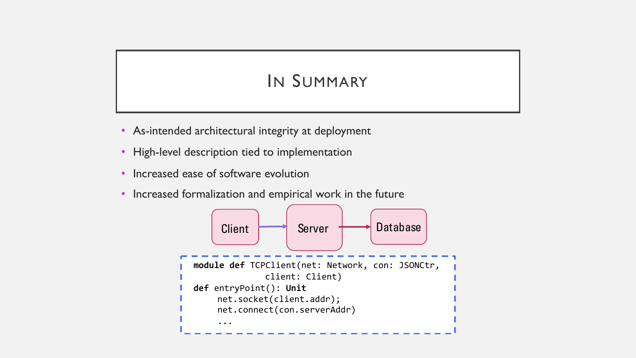#### IN SUMMARY

- As-intended architectural integrity at deployment
- High-level description tied to implementation
- Increased ease of software evolution
- Increased formalization and empirical work in the future